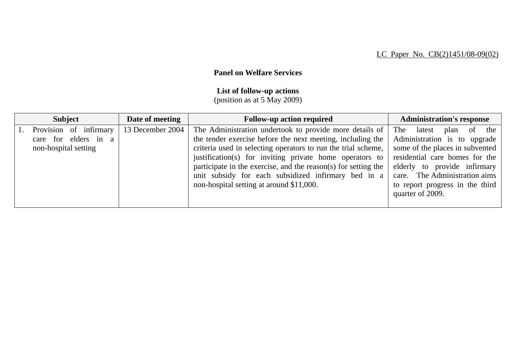## **Panel on Welfare Services**

## **List of follow-up actions**

(position as at 5 May 2009)

| <b>Subject</b>                                                         | Date of meeting  | <b>Follow-up action required</b>                                                                                                                                                                                                                                                                                                                                           | <b>Administration's response</b>                                                                                                                                                                      |
|------------------------------------------------------------------------|------------------|----------------------------------------------------------------------------------------------------------------------------------------------------------------------------------------------------------------------------------------------------------------------------------------------------------------------------------------------------------------------------|-------------------------------------------------------------------------------------------------------------------------------------------------------------------------------------------------------|
| Provision of infirmary<br>care for elders in a<br>non-hospital setting | 13 December 2004 | The Administration undertook to provide more details of<br>the tender exercise before the next meeting, including the<br>criteria used in selecting operators to run the trial scheme,<br>justification(s) for inviting private home operators to<br>participate in the exercise, and the reason(s) for setting the<br>unit subsidy for each subsidized infirmary bed in a | The<br>of the<br>latest<br>plan<br>Administration is to upgrade<br>some of the places in subvented<br>residential care homes for the<br>elderly to provide infirmary<br>care. The Administration aims |
|                                                                        |                  | non-hospital setting at around \$11,000.                                                                                                                                                                                                                                                                                                                                   | to report progress in the third<br>quarter of 2009.                                                                                                                                                   |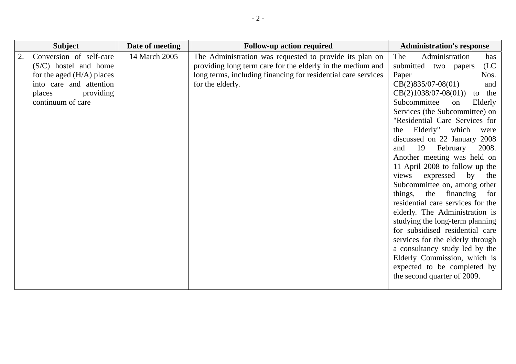| <b>Subject</b>                                                                                                                                           | Date of meeting | <b>Follow-up action required</b>                                                                                                                                                                           | <b>Administration's response</b>                                                                                                                                                                                                                                                                                                                                                                                                                                                                                                                                                                                                                                                                                                                                                                                                                    |
|----------------------------------------------------------------------------------------------------------------------------------------------------------|-----------------|------------------------------------------------------------------------------------------------------------------------------------------------------------------------------------------------------------|-----------------------------------------------------------------------------------------------------------------------------------------------------------------------------------------------------------------------------------------------------------------------------------------------------------------------------------------------------------------------------------------------------------------------------------------------------------------------------------------------------------------------------------------------------------------------------------------------------------------------------------------------------------------------------------------------------------------------------------------------------------------------------------------------------------------------------------------------------|
| Conversion of self-care<br>$(S/C)$ hostel and home<br>for the aged $(H/A)$ places<br>into care and attention<br>providing<br>places<br>continuum of care | 14 March 2005   | The Administration was requested to provide its plan on<br>providing long term care for the elderly in the medium and<br>long terms, including financing for residential care services<br>for the elderly. | The<br>Administration<br>has<br>submitted<br>(LC)<br>two papers<br>Paper<br>Nos.<br>$CB(2)835/07-08(01)$<br>and<br>$CB(2)1038/07-08(01))$<br>to the<br>Subcommittee<br>on<br>Elderly<br>Services (the Subcommittee) on<br>"Residential Care Services for<br>Elderly" which<br>the<br>were<br>discussed on 22 January 2008<br>February<br>19<br>2008.<br>and<br>Another meeting was held on<br>11 April 2008 to follow up the<br>by<br>expressed<br>views<br>the<br>Subcommittee on, among other<br>the financing<br>things,<br>for<br>residential care services for the<br>elderly. The Administration is<br>studying the long-term planning<br>for subsidised residential care<br>services for the elderly through<br>a consultancy study led by the<br>Elderly Commission, which is<br>expected to be completed by<br>the second quarter of 2009. |
|                                                                                                                                                          |                 |                                                                                                                                                                                                            |                                                                                                                                                                                                                                                                                                                                                                                                                                                                                                                                                                                                                                                                                                                                                                                                                                                     |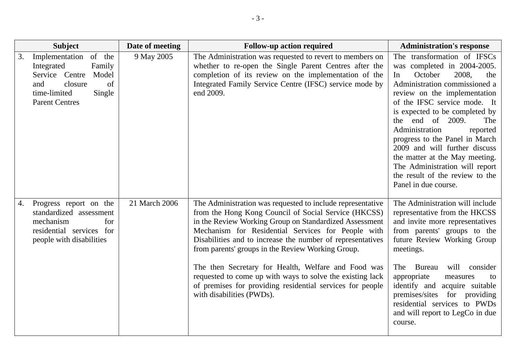| <b>Subject</b>                                                                                                                                               | Date of meeting | <b>Follow-up action required</b>                                                                                                                                                                                                                                                                                                                                                                                                                                                                                                                                    | <b>Administration's response</b>                                                                                                                                                                                                                                                                                                                                                                                                                                                          |
|--------------------------------------------------------------------------------------------------------------------------------------------------------------|-----------------|---------------------------------------------------------------------------------------------------------------------------------------------------------------------------------------------------------------------------------------------------------------------------------------------------------------------------------------------------------------------------------------------------------------------------------------------------------------------------------------------------------------------------------------------------------------------|-------------------------------------------------------------------------------------------------------------------------------------------------------------------------------------------------------------------------------------------------------------------------------------------------------------------------------------------------------------------------------------------------------------------------------------------------------------------------------------------|
| Implementation<br>of the<br>3.<br>Family<br>Integrated<br>Service Centre<br>Model<br>closure<br>of<br>and<br>time-limited<br>Single<br><b>Parent Centres</b> | 9 May 2005      | The Administration was requested to revert to members on<br>whether to re-open the Single Parent Centres after the<br>completion of its review on the implementation of the<br>Integrated Family Service Centre (IFSC) service mode by<br>end 2009.                                                                                                                                                                                                                                                                                                                 | The transformation of IFSCs<br>was completed in 2004-2005.<br>October<br>2008,<br>the<br>In<br>Administration commissioned a<br>review on the implementation<br>of the IFSC service mode. It<br>is expected to be completed by<br>the end of 2009.<br>The<br>Administration<br>reported<br>progress to the Panel in March<br>2009 and will further discuss<br>the matter at the May meeting.<br>The Administration will report<br>the result of the review to the<br>Panel in due course. |
| Progress report on the<br>4.<br>standardized assessment<br>mechanism<br>for<br>residential services for<br>people with disabilities                          | 21 March 2006   | The Administration was requested to include representative<br>from the Hong Kong Council of Social Service (HKCSS)<br>in the Review Working Group on Standardized Assessment<br>Mechanism for Residential Services for People with<br>Disabilities and to increase the number of representatives<br>from parents' groups in the Review Working Group.<br>The then Secretary for Health, Welfare and Food was<br>requested to come up with ways to solve the existing lack<br>of premises for providing residential services for people<br>with disabilities (PWDs). | The Administration will include<br>representative from the HKCSS<br>and invite more representatives<br>from parents' groups to the<br>future Review Working Group<br>meetings.<br>will<br>The<br>Bureau<br>consider<br>appropriate<br>measures<br>to<br>identify and<br>acquire suitable<br>premises/sites for providing<br>residential services to PWDs<br>and will report to LegCo in due<br>course.                                                                                    |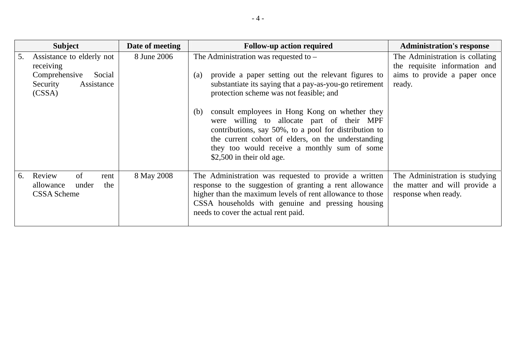|    | <b>Subject</b>                                                          | Date of meeting | <b>Follow-up action required</b>                                                                                                                                                                                                                                                                | <b>Administration's response</b>                                                                 |
|----|-------------------------------------------------------------------------|-----------------|-------------------------------------------------------------------------------------------------------------------------------------------------------------------------------------------------------------------------------------------------------------------------------------------------|--------------------------------------------------------------------------------------------------|
| 5. | Assistance to elderly not<br>receiving<br>Comprehensive<br>Social       | 8 June 2006     | The Administration was requested to $-$<br>provide a paper setting out the relevant figures to<br>(a)                                                                                                                                                                                           | The Administration is collating<br>the requisite information and<br>aims to provide a paper once |
|    | Security<br>Assistance<br>(CSSA)                                        |                 | substantiate its saying that a pay-as-you-go retirement<br>protection scheme was not feasible; and                                                                                                                                                                                              | ready.                                                                                           |
|    |                                                                         |                 | consult employees in Hong Kong on whether they<br>(b)<br>were willing to allocate part of their MPF<br>contributions, say 50%, to a pool for distribution to<br>the current cohort of elders, on the understanding<br>they too would receive a monthly sum of some<br>\$2,500 in their old age. |                                                                                                  |
| 6. | Review<br>of<br>rent<br>allowance<br>under<br>the<br><b>CSSA</b> Scheme | 8 May 2008      | The Administration was requested to provide a written<br>response to the suggestion of granting a rent allowance<br>higher than the maximum levels of rent allowance to those<br>CSSA households with genuine and pressing housing<br>needs to cover the actual rent paid.                      | The Administration is studying<br>the matter and will provide a<br>response when ready.          |